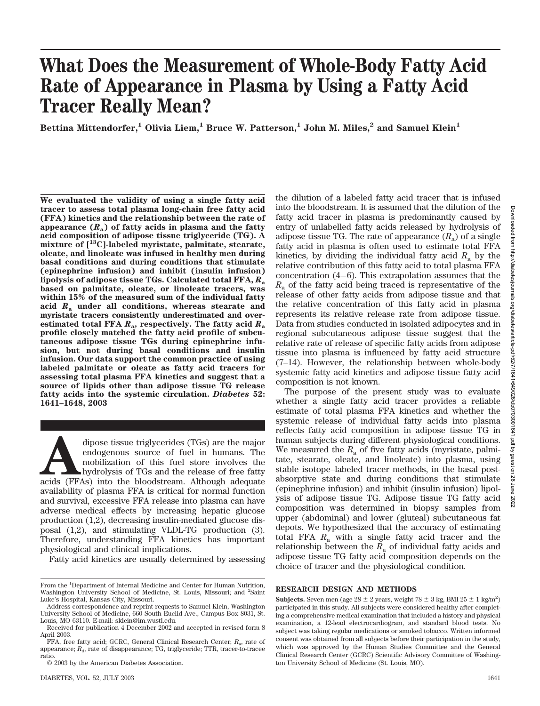# **What Does the Measurement of Whole-Body Fatty Acid Rate of Appearance in Plasma by Using a Fatty Acid Tracer Really Mean?**

**Bettina Mittendorfer,<sup>1</sup> Olivia Liem,<sup>1</sup> Bruce W. Patterson,<sup>1</sup> John M. Miles,<sup>2</sup> and Samuel Klein<sup>1</sup>** 

**We evaluated the validity of using a single fatty acid tracer to assess total plasma long-chain free fatty acid (FFA) kinetics and the relationship between the rate of appearance (***R***a) of fatty acids in plasma and the fatty acid composition of adipose tissue triglyceride (TG). A mixture of [13C]-labeled myristate, palmitate, stearate, oleate, and linoleate was infused in healthy men during basal conditions and during conditions that stimulate (epinephrine infusion) and inhibit (insulin infusion) lipolysis of adipose tissue TGs. Calculated total FFA,** *R***<sup>a</sup> based on palmitate, oleate, or linoleate tracers, was within 15% of the measured sum of the individual fatty acid** *R***<sup>a</sup> under all conditions, whereas stearate and myristate tracers consistently underestimated and overestimated total FFA** *R***a, respectively. The fatty acid** *R***<sup>a</sup> profile closely matched the fatty acid profile of subcutaneous adipose tissue TGs during epinephrine infusion, but not during basal conditions and insulin infusion. Our data support the common practice of using labeled palmitate or oleate as fatty acid tracers for assessing total plasma FFA kinetics and suggest that a source of lipids other than adipose tissue TG release fatty acids into the systemic circulation.** *Diabetes* **52: 1641–1648, 2003**

dipose tissue triglycerides (TGs) are the major endogenous source of fuel in humans. The mobilization of this fuel store involves the hydrolysis of TGs and the release of free fatty acids (FFAs) into the bloodstream. Altho endogenous source of fuel in humans. The mobilization of this fuel store involves the hydrolysis of TGs and the release of free fatty availability of plasma FFA is critical for normal function and survival, excessive FFA release into plasma can have adverse medical effects by increasing hepatic glucose production (1,2), decreasing insulin-mediated glucose disposal (1,2), and stimulating VLDL-TG production (3). Therefore, understanding FFA kinetics has important physiological and clinical implications.

Fatty acid kinetics are usually determined by assessing

© 2003 by the American Diabetes Association.

the dilution of a labeled fatty acid tracer that is infused into the bloodstream. It is assumed that the dilution of the fatty acid tracer in plasma is predominantly caused by entry of unlabelled fatty acids released by hydrolysis of adipose tissue TG. The rate of appearance  $(R_a)$  of a single fatty acid in plasma is often used to estimate total FFA kinetics, by dividing the individual fatty acid  $R_a$  by the relative contribution of this fatty acid to total plasma FFA concentration (4–6). This extrapolation assumes that the *R*<sup>a</sup> of the fatty acid being traced is representative of the release of other fatty acids from adipose tissue and that the relative concentration of this fatty acid in plasma represents its relative release rate from adipose tissue. Data from studies conducted in isolated adipocytes and in regional subcutaneous adipose tissue suggest that the relative rate of release of specific fatty acids from adipose tissue into plasma is influenced by fatty acid structure (7–14). However, the relationship between whole-body systemic fatty acid kinetics and adipose tissue fatty acid composition is not known.

The purpose of the present study was to evaluate whether a single fatty acid tracer provides a reliable estimate of total plasma FFA kinetics and whether the systemic release of individual fatty acids into plasma reflects fatty acid composition in adipose tissue TG in human subjects during different physiological conditions. We measured the  $R_a$  of five fatty acids (myristate, palmitate, stearate, oleate, and linoleate) into plasma, using stable isotope–labeled tracer methods, in the basal postabsorptive state and during conditions that stimulate (epinephrine infusion) and inhibit (insulin infusion) lipolysis of adipose tissue TG. Adipose tissue TG fatty acid composition was determined in biopsy samples from upper (abdominal) and lower (gluteal) subcutaneous fat depots. We hypothesized that the accuracy of estimating total FFA  $R_a$  with a single fatty acid tracer and the relationship between the  $R_a$  of individual fatty acids and adipose tissue TG fatty acid composition depends on the choice of tracer and the physiological condition.

#### **RESEARCH DESIGN AND METHODS**

**Subjects.** Seven men (age  $28 \pm 2$  years, weight  $78 \pm 3$  kg, BMI  $25 \pm 1$  kg/m<sup>2</sup>) participated in this study. All subjects were considered healthy after completing a comprehensive medical examination that included a history and physical examination, a 12-lead electrocardiogram, and standard blood tests. No subject was taking regular medications or smoked tobacco. Written informed consent was obtained from all subjects before their participation in the study, which was approved by the Human Studies Committee and the General Clinical Research Center (GCRC) Scientific Advisory Committee of Washington University School of Medicine (St. Louis, MO).

From the <sup>1</sup>Department of Internal Medicine and Center for Human Nutrition, Washington University School of Medicine, St. Louis, Missouri; and <sup>2</sup>Saint Luke's Hospital, Kansas City, Missouri.

Address correspondence and reprint requests to Samuel Klein, Washington University School of Medicine, 660 South Euclid Ave., Campus Box 8031, St. Louis, MO 63110. E-mail: sklein@im.wustl.edu.

Received for publication 4 December 2002 and accepted in revised form 8 April 2003.

FFA, free fatty acid; GCRC, General Clinical Research Center;  $R_{\alpha}$ , rate of appearance;  $R_d$ , rate of disappearance; TG, triglyceride; TTR, tracer-to-tracee ratio.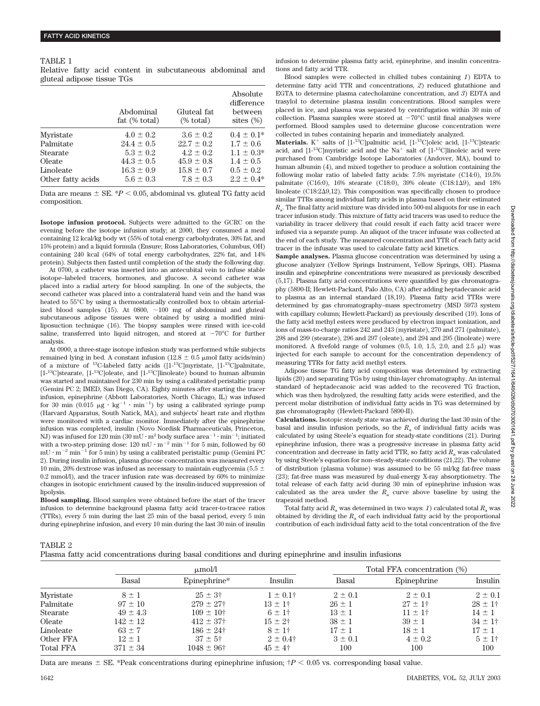#### TABLE 1

Relative fatty acid content in subcutaneous abdominal and gluteal adipose tissue TGs

|                   | Abdominal<br>fat $(\% \text{ total})$ | Gluteal fat<br>$%$ total) | Absolute<br>difference<br>between<br>sites $(\%)$ |
|-------------------|---------------------------------------|---------------------------|---------------------------------------------------|
| Myristate         | $4.0 \pm 0.2$                         | $3.6 \pm 0.2$             | $0.4 \pm 0.1*$                                    |
| Palmitate         | $24.4 \pm 0.5$                        | $22.7 \pm 0.2$            | $1.7 \pm 0.6$                                     |
| <b>Stearate</b>   | $5.3 \pm 0.2$                         | $4.2 \pm 0.2$             | $1.1 \pm 0.3^*$                                   |
| Oleate            | $44.3 \pm 0.5$                        | $45.9 \pm 0.8$            | $1.4 \pm 0.5$                                     |
| Linoleate         | $16.3 \pm 0.9$                        | $15.8 \pm 0.7$            | $0.5 \pm 0.2$                                     |
| Other fatty acids | $5.6 \pm 0.3$                         | $7.8 \pm 0.3$             | $2.2 \pm 0.4*$                                    |

Data are means  $\pm$  SE.  $*P$  < 0.05, abdominal vs. gluteal TG fatty acid composition.

**Isotope infusion protocol.** Subjects were admitted to the GCRC on the evening before the isotope infusion study; at 2000, they consumed a meal containing 12 kcal/kg body wt (55% of total energy carbohydrates, 30% fat, and 15% protein) and a liquid formula (Ensure; Ross Laboratories, Columbus, OH) containing 240 kcal (64% of total energy carbohydrates, 22% fat, and 14% protein). Subjects then fasted until completion of the study the following day.

At 0700, a catheter was inserted into an antecubital vein to infuse stable isotope–labeled tracers, hormones, and glucose. A second catheter was placed into a radial artery for blood sampling. In one of the subjects, the second catheter was placed into a contralateral hand vein and the hand was heated to 55°C by using a thermostatically controlled box to obtain arterialized blood samples (15). At  $0800, -100$  mg of abdominal and gluteal subcutaneous adipose tissues were obtained by using a modified miniliposuction technique (16). The biopsy samples were rinsed with ice-cold saline, transferred into liquid nitrogen, and stored at  $-70^{\circ}$ C for further analysis.

At 0900, a three-stage isotope infusion study was performed while subjects remained lying in bed. A constant infusion (12.8  $\pm$  0.5 µmol fatty acids/min) of a mixture of 13C-labeled fatty acids ([1-13C]myristate, [1-13C]palmitate,  $[1^{-13}\mathrm{C}]$  stearate,  $[1^{-13}\mathrm{C}]$  oleate, and  $[1^{-13}\mathrm{C}]$  inoleate) bound to human albumin was started and maintained for 230 min by using a calibrated peristaltic pump (Gemini PC 2; IMED, San Diego, CA). Eighty minutes after starting the tracer infusion, epinephrine (Abbott Laboratories, North Chicago, IL) was infused for 30 min (0.015  $\mu$ g · kg<sup>-1</sup> · min<sup>-1</sup>) by using a calibrated syringe pump (Harvard Apparatus, South Natick, MA), and subjects' heart rate and rhythm were monitored with a cardiac monitor. Immediately after the epinephrine infusion was completed, insulin (Novo Nordisk Pharmaceuticals, Princeton, NJ) was infused for 120 min (30 mU  $\cdot$  m<sup>2</sup> body surface area<sup>-1</sup>  $\cdot$  min<sup>-1</sup>; initiated with a two-step priming dose:  $120 \text{ mU} \cdot \text{m}^{-2} \text{ min}^{-1}$  for 5 min, followed by 60  $\rm mU\cdot m^{-2}$  min $^{-1}$  for 5 min) by using a calibrated peristaltic pump (Gemini PC 2). During insulin infusion, plasma glucose concentration was measured every 10 min, 20% dextrose was infused as necessary to maintain euglycemia (5.5  $\pm$ 0.2 mmol/l), and the tracer infusion rate was decreased by 60% to minimize changes in isotopic enrichment caused by the insulin-induced suppression of lipolysis.

**Blood sampling.** Blood samples were obtained before the start of the tracer infusion to determine background plasma fatty acid tracer-to-tracee ratios (TTRs), every 5 min during the last 25 min of the basal period, every 5 min during epinephrine infusion, and every 10 min during the last 30 min of insulin infusion to determine plasma fatty acid, epinephrine, and insulin concentrations and fatty acid TTR.

Blood samples were collected in chilled tubes containing *1*) EDTA to determine fatty acid TTR and concentrations, *2*) reduced glutathione and EGTA to determine plasma catecholamine concentration, and *3*) EDTA and trasylol to determine plasma insulin concentrations. Blood samples were placed in ice, and plasma was separated by centrifugation within 30 min of collection. Plasma samples were stored at  $-70^{\circ}$ C until final analyses were performed. Blood samples used to determine glucose concentration were collected in tubes containing heparin and immediately analyzed.

**Materials.**  $K^+$  salts of  $[1^{-13}C]$ palmitic acid,  $[1^{-13}C]$ oleic acid,  $[1^{-13}C]$ stearic acid, and  $[1^{-13}C]$ myristic acid and the Na<sup>+</sup> salt of  $[1^{-13}C]$ linoleic acid were purchased from Cambridge Isotope Laboratories (Andover, MA), bound to human albumin (4), and mixed together to produce a solution containing the following molar ratio of labeled fatty acids: 7.5% myristate (C14:0), 19.5% palmitate (C16:0),  $16\%$  stearate (C18:0), 39% oleate (C18:1 $\Delta$ 9), and 18% linoleate  $(C18:2\Delta9,12)$ . This composition was specifically chosen to produce similar TTRs among individual fatty acids in plasma based on their estimated *R*a. The final fatty acid mixture was divided into 500-ml aliquots for use in each tracer infusion study. This mixture of fatty acid tracers was used to reduce the variability in tracer delivery that could result if each fatty acid tracer were infused via a separate pump. An aliquot of the tracer infusate was collected at the end of each study. The measured concentration and TTR of each fatty acid tracer in the infusate was used to calculate fatty acid kinetics.

**Sample analyses.** Plasma glucose concentration was determined by using a glucose analyzer (Yellow Springs Instrument, Yellow Springs, OH). Plasma insulin and epinephrine concentrations were measured as previously described (5,17). Plasma fatty acid concentrations were quantified by gas chromatography (5890-II; Hewlett-Packard, Palo Alto, CA) after adding heptadecanoic acid to plasma as an internal standard (18,19). Plasma fatty acid TTRs were determined by gas chromatography–mass spectrometry (MSD 5973 system with capillary column; Hewlett-Packard) as previously described (19). Ions of the fatty acid methyl esters were produced by electron impact ionization, and ions of mass-to-charge ratios 242 and 243 (myristate), 270 and 271 (palmitate), 298 and 299 (stearate), 296 and 297 (oleate), and 294 and 295 (linoleate) were monitored. A fivefold range of volumes  $(0.5, 1.0, 1.5, 2.0, \text{ and } 2.5 \mu\text{I})$  was injected for each sample to account for the concentration dependency of measuring TTRs for fatty acid methyl esters.

Adipose tissue TG fatty acid composition was determined by extracting lipids (20) and separating TGs by using thin-layer chromatography. An internal standard of heptadecanoic acid was added to the recovered TG fraction, which was then hydrolyzed, the resulting fatty acids were esterified, and the percent molar distribution of individual fatty acids in TG was determined by gas chromatography (Hewlett-Packard 5890-II).

**Calculations.** Isotopic steady state was achieved during the last 30 min of the basal and insulin infusion periods, so the  $R_a$  of individual fatty acids was calculated by using Steele's equation for steady-state conditions (21). During epinephrine infusion, there was a progressive increase in plasma fatty acid concentration and decrease in fatty acid TTR, so fatty acid  $R_a$  was calculated by using Steele's equation for non–steady-state conditions (21,22). The volume of distribution (plasma volume) was assumed to be 55 ml/kg fat-free mass (23); fat-free mass was measured by dual-energy X-ray absorptiometry. The total release of each fatty acid during 30 min of epinephrine infusion was calculated as the area under the  $R_a$  curve above baseline by using the trapezoid method.

Total fatty acid  $R_a$  was determined in two ways: *1*) calculated total  $R_a$  was obtained by dividing the  $R_a$  of each individual fatty acid by the proportional contribution of each individual fatty acid to the total concentration of the five

TABLE 2

Plasma fatty acid concentrations during basal conditions and during epinephrine and insulin infusions

|                  | $\mu$ mol/l       |                       |                | Total FFA concentration (%) |              |              |
|------------------|-------------------|-----------------------|----------------|-----------------------------|--------------|--------------|
|                  | Basal             | Epinephrine*          | Insulin        | Basal                       | Epinephrine  | Insulin      |
| Myristate        | $8 \pm 1$         | $25 \pm 3^{\circ}$    | $1 \pm 0.1^+$  | $2 \pm 0.1$                 | $2 \pm 0.1$  | $2 \pm 0.1$  |
| Palmitate        | $.97 \pm 10^{-1}$ | $279 \pm 27$ †        | $13 \pm 1^+$   | $26 \pm 1$                  | $27 \pm 1$ † | $28 \pm 1$ † |
| Stearate         | $49 \pm 4.3$      | $109 \pm 10^+$        | $6 \pm 1$ †    | $13 \pm 1$                  | $11 \pm 1^+$ | $14 \pm 1$   |
| Oleate           | $142 \pm 12$      | $412 \pm 37$          | $15 \pm 2^{+}$ | $38 \pm 1$                  | $39 \pm 1$   | $34 \pm 1^+$ |
| Linoleate        | $63 \pm 7$        | $186 \pm 24^{\circ}$  | $8 \pm 1$ †    | $17 \pm 1$                  | $18 \pm 1$   | $17 \pm 1$   |
| Other FFA        | $12 \pm 1$        | $37 \pm 5^{\circ}$    | $2 \pm 0.4$ †  | $3 \pm 0.1$                 | $4 \pm 0.2$  | $5 \pm 1$ †  |
| <b>Total FFA</b> | $371 \pm 34$      | $1048 \pm 96^{\circ}$ | $45 \pm 4^{+}$ | 100                         | 100          | 100          |

Downloaded from http://diabetesjournals.org/diabetes/article-pdf/52/7/1641/649026/db0703001641.pdf by guest on 28 June 2022Downloaded from http://diabetesiournals.org/dD/26/10441/1643171026/dD/26/dD/26/dD/26/dD/26/dD/203070910410 http://diabetesiourn/29 June 2022

Data are means  $\pm$  SE. \*Peak concentrations during epinephrine infusion;  $\frac{1}{7}P$  < 0.05 vs. corresponding basal value.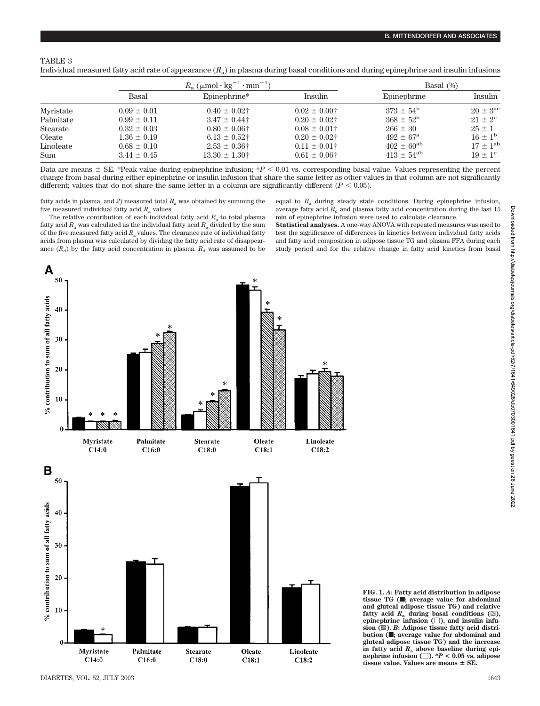## TABLE 3

Individual measured fatty acid rate of appearance (*R*a) in plasma during basal conditions and during epinephrine and insulin infusions

|            | $R_a$ ( $\mu$ mol·kg <sup>-1</sup> ·min <sup>-1</sup> ) |                    |                   | Basal $(\%)$         |                    |  |
|------------|---------------------------------------------------------|--------------------|-------------------|----------------------|--------------------|--|
|            | Basal                                                   | Epinephrine*       | Insulin           | Epinephrine          | Insulin            |  |
| Myristate  | $0.09 \pm 0.01$                                         | $0.40 \pm 0.02$ †  | $0.02 \pm 0.00$ † | $373 \pm 54^{\rm b}$ | $20 + 3^{\rm ac}$  |  |
| Palmitate  | $0.99 \pm 0.11$                                         | $3.47 \pm 0.44$    | $0.20 \pm 0.02$ † | $368 + 52^b$         | $21 \pm 2^{\circ}$ |  |
| Stearate   | $0.32 \pm 0.03$                                         | $0.80 \pm 0.06$ †  | $0.08 \pm 0.01$ † | $266 \pm 30$         | $25 \pm 1$         |  |
| Oleate     | $1.36 \pm 0.19$                                         | $6.13 \pm 0.52$ †  | $0.20 \pm 0.02$ † | $492 \pm 67^{\rm a}$ | $16 + 1^b$         |  |
| Linoleate  | $0.68 \pm 0.10$                                         | $2.53 \pm 0.36$ †  | $0.11 \pm 0.01^+$ | $402 \pm 60^{ab}$    | $17 + 1^{ab}$      |  |
| <b>Sum</b> | $3.44 \pm 0.45$                                         | $13.30 \pm 1.30^+$ | $0.61 \pm 0.06$ † | $413 \pm 54^{ab}$    | $19 + 1^{\circ}$   |  |

Data are means  $\pm$  SE. \*Peak value during epinephrine infusion;  $\ddot{\tau}P$  < 0.01 vs. corresponding basal value. Values representing the percent change from basal during either epinephrine or insulin infusion that share the same letter as other values in that column are not significantly different; values that do not share the same letter in a column are significantly different  $(P < 0.05)$ .

fatty acids in plasma, and *2*) measured total *R*<sup>a</sup> was obtained by summing the five measured individual fatty acid *R*<sup>a</sup> values.

The relative contribution of each individual fatty acid  $R_a$  to total plasma fatty acid  $R_a$  was calculated as the individual fatty acid  $R_a$  divided by the sum of the five measured fatty acid *R*<sup>a</sup> values. The clearance rate of individual fatty acids from plasma was calculated by dividing the fatty acid rate of disappearance  $(R_d)$  by the fatty acid concentration in plasma.  $R_d$  was assumed to be equal to  $R_a$  during steady state conditions. During epinephrine infusion, average fatty acid  $R_d$  and plasma fatty acid concentration during the last 15 min of epinephrine infusion were used to calculate clearance.

**Statistical analyses.** A one-way ANOVA with repeated measures was used to test the significance of differences in kinetics between individual fatty acids and fatty acid composition in adipose tissue TG and plasma FFA during each study period and for the relative change in fatty acid kinetics from basal



**FIG. 1.** *A***: Fatty acid distribution in adipose tissue TG (**f**; average value for abdominal and gluteal adipose tissue TG) and relative fatty** acid  $R$ <sup>a</sup> during basal conditions ( $\mathbb{D}$ ), epinephrine infusion  $(\square)$ , and insulin infusion ( $\mathbb{B}$ ). *B*: Adipose tissue fatty acid distribution ( $\blacksquare$ ; average value for abdominal and **gluteal adipose tissue TG) and the increase in fatty acid** *R***<sup>a</sup> above baseline during epi-** $\text{nephrine inflation}$   $\Box$ ).  $^*P < 0.05$  vs. adipose **tissue value. Values are means SE.**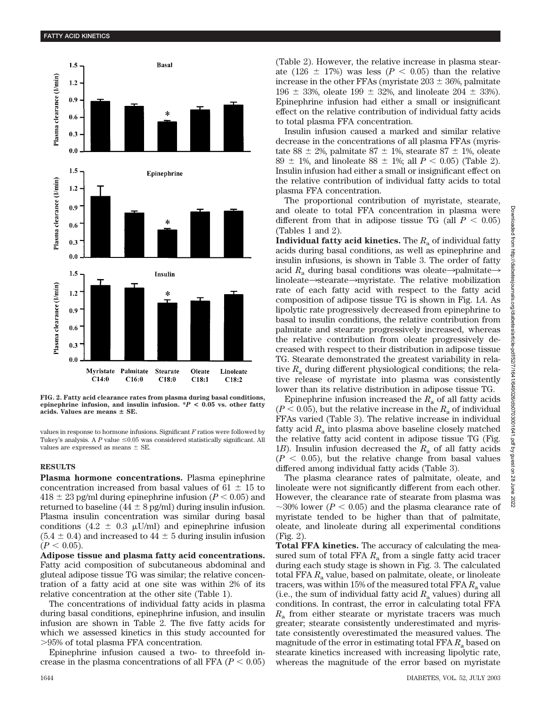

**FIG. 2. Fatty acid clearance rates from plasma during basal conditions, epinephrine infusion, and insulin infusion. \****P* **< 0.05 vs. other fatty acids. Values are means SE.**

values in response to hormone infusions. Significant *F* ratios were followed by Tukey's analysis. A  $P$  value  $\leq 0.05$  was considered statistically significant. All values are expressed as means  $\pm$  SE.

### **RESULTS**

**Plasma hormone concentrations.** Plasma epinephrine concentration increased from basal values of  $61 \pm 15$  to  $418 \pm 23$  pg/ml during epinephrine infusion ( $P < 0.05$ ) and returned to baseline ( $44 \pm 8$  pg/ml) during insulin infusion. Plasma insulin concentration was similar during basal conditions (4.2  $\pm$  0.3  $\mu$ U/ml) and epinephrine infusion  $(5.4 \pm 0.4)$  and increased to  $44 \pm 5$  during insulin infusion  $(P < 0.05)$ .

**Adipose tissue and plasma fatty acid concentrations.** Fatty acid composition of subcutaneous abdominal and gluteal adipose tissue TG was similar; the relative concentration of a fatty acid at one site was within 2% of its relative concentration at the other site (Table 1).

The concentrations of individual fatty acids in plasma during basal conditions, epinephrine infusion, and insulin infusion are shown in Table 2. The five fatty acids for which we assessed kinetics in this study accounted for 95% of total plasma FFA concentration.

Epinephrine infusion caused a two- to threefold increase in the plasma concentrations of all FFA  $(P < 0.05)$ 

(Table 2). However, the relative increase in plasma stearate (126  $\pm$  17%) was less ( $P < 0.05$ ) than the relative increase in the other FFAs (myristate  $203 \pm 36$ %, palmitate 196  $\pm$  33%, oleate 199  $\pm$  32%, and linoleate 204  $\pm$  33%). Epinephrine infusion had either a small or insignificant effect on the relative contribution of individual fatty acids to total plasma FFA concentration.

Insulin infusion caused a marked and similar relative decrease in the concentrations of all plasma FFAs (myristate 88  $\pm$  2%, palmitate 87  $\pm$  1%, stearate 87  $\pm$  1%, oleate 89  $\pm$  1%, and linoleate 88  $\pm$  1%; all *P* < 0.05) (Table 2). Insulin infusion had either a small or insignificant effect on the relative contribution of individual fatty acids to total plasma FFA concentration.

The proportional contribution of myristate, stearate, and oleate to total FFA concentration in plasma were different from that in adipose tissue TG (all  $P < 0.05$ ) (Tables 1 and 2).

**Individual fatty acid kinetics.** The  $R_a$  of individual fatty acids during basal conditions, as well as epinephrine and insulin infusions, is shown in Table 3. The order of fatty acid  $R_a$  during basal conditions was oleate->palmitate-> linoleate $\rightarrow$ stearate $\rightarrow$ myristate. The relative mobilization rate of each fatty acid with respect to the fatty acid composition of adipose tissue TG is shown in Fig. 1*A*. As lipolytic rate progressively decreased from epinephrine to basal to insulin conditions, the relative contribution from palmitate and stearate progressively increased, whereas the relative contribution from oleate progressively decreased with respect to their distribution in adipose tissue TG. Stearate demonstrated the greatest variability in relative  $R_a$  during different physiological conditions; the relative release of myristate into plasma was consistently lower than its relative distribution in adipose tissue TG.

Epinephrine infusion increased the  $R_a$  of all fatty acids  $(P < 0.05)$ , but the relative increase in the  $R_a$  of individual FFAs varied (Table 3). The relative increase in individual fatty acid  $R_a$  into plasma above baseline closely matched the relative fatty acid content in adipose tissue TG (Fig. 1*B*). Insulin infusion decreased the  $R_a$  of all fatty acids  $(P < 0.05)$ , but the relative change from basal values differed among individual fatty acids (Table 3).

The plasma clearance rates of palmitate, oleate, and linoleate were not significantly different from each other. However, the clearance rate of stearate from plasma was  $\sim$ 30% lower ( $P < 0.05$ ) and the plasma clearance rate of myristate tended to be higher than that of palmitate, oleate, and linoleate during all experimental conditions (Fig. 2).

**Total FFA kinetics.** The accuracy of calculating the measured sum of total FFA  $R_a$  from a single fatty acid tracer during each study stage is shown in Fig. 3. The calculated total FFA *R*<sup>a</sup> value, based on palmitate, oleate, or linoleate tracers, was within 15% of the measured total FFA R<sub>a</sub> value (i.e., the sum of individual fatty acid  $R_a$  values) during all conditions. In contrast, the error in calculating total FFA *R*<sup>a</sup> from either stearate or myristate tracers was much greater; stearate consistently underestimated and myristate consistently overestimated the measured values. The magnitude of the error in estimating total FFA  $R_a$  based on stearate kinetics increased with increasing lipolytic rate, whereas the magnitude of the error based on myristate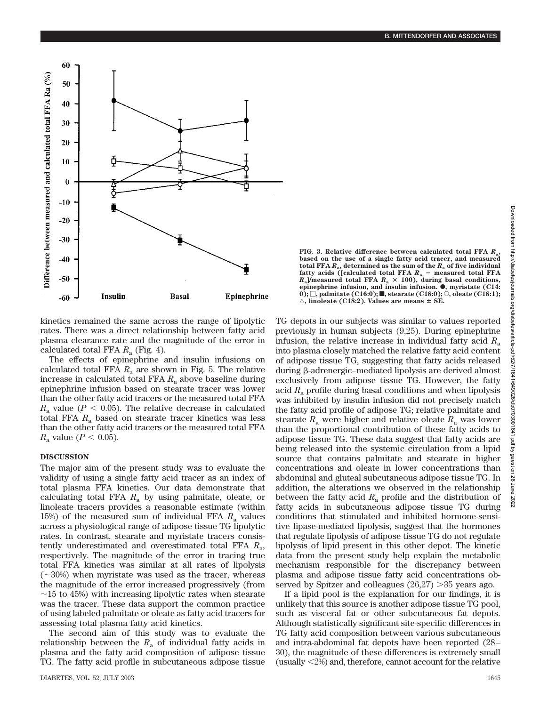

**FIG. 3. Relative difference between calculated total FFA** *R***a, based on the use of a single fatty acid tracer, and measured** total FFA  $R_a$ , determined as the sum of the  $R_a$  of five individual fatty acids ([calculated total FFA  $R_a$  – measured total FFA  $R_a$ ]/measured total FFA  $R_a \times 100$ ), during basal conditions, **epinephrine infusion, and insulin infusion.**  $\bullet$ , myristate (C14:  $\ket{0};\Box,$  palmitate (C16:0); **I**, stearate (C18:0);  $\bigcirc$ , oleate (C18:1);  $\triangle$ , linoleate (C18:2). Values are means  $\pm$  SE.

kinetics remained the same across the range of lipolytic rates. There was a direct relationship between fatty acid plasma clearance rate and the magnitude of the error in calculated total FFA  $R_a$  (Fig. 4).

The effects of epinephrine and insulin infusions on calculated total FFA  $R_a$  are shown in Fig. 5. The relative increase in calculated total FFA  $R_a$  above baseline during epinephrine infusion based on stearate tracer was lower than the other fatty acid tracers or the measured total FFA  $R_a$  value ( $P < 0.05$ ). The relative decrease in calculated total FFA *R*<sup>a</sup> based on stearate tracer kinetics was less than the other fatty acid tracers or the measured total FFA *R*<sub>a</sub> value ( $P < 0.05$ ).

## **DISCUSSION**

The major aim of the present study was to evaluate the validity of using a single fatty acid tracer as an index of total plasma FFA kinetics. Our data demonstrate that calculating total FFA *R*<sup>a</sup> by using palmitate, oleate, or linoleate tracers provides a reasonable estimate (within 15%) of the measured sum of individual FFA  $R_a$  values across a physiological range of adipose tissue TG lipolytic rates. In contrast, stearate and myristate tracers consistently underestimated and overestimated total FFA *R*a, respectively. The magnitude of the error in tracing true total FFA kinetics was similar at all rates of lipolysis  $(\sim]30\%)$  when myristate was used as the tracer, whereas the magnitude of the error increased progressively (from  $\sim$ 15 to 45%) with increasing lipolytic rates when stearate was the tracer. These data support the common practice of using labeled palmitate or oleate as fatty acid tracers for assessing total plasma fatty acid kinetics.

The second aim of this study was to evaluate the relationship between the  $R_a$  of individual fatty acids in plasma and the fatty acid composition of adipose tissue TG. The fatty acid profile in subcutaneous adipose tissue TG depots in our subjects was similar to values reported previously in human subjects (9,25). During epinephrine infusion, the relative increase in individual fatty acid *R*<sup>a</sup> into plasma closely matched the relative fatty acid content of adipose tissue TG, suggesting that fatty acids released during  $\beta$ -adrenergic–mediated lipolysis are derived almost exclusively from adipose tissue TG. However, the fatty acid  $R_a$  profile during basal conditions and when lipolysis was inhibited by insulin infusion did not precisely match the fatty acid profile of adipose TG; relative palmitate and stearate  $R_a$  were higher and relative oleate  $R_a$  was lower than the proportional contribution of these fatty acids to adipose tissue TG. These data suggest that fatty acids are being released into the systemic circulation from a lipid source that contains palmitate and stearate in higher concentrations and oleate in lower concentrations than abdominal and gluteal subcutaneous adipose tissue TG. In addition, the alterations we observed in the relationship between the fatty acid  $R_a$  profile and the distribution of fatty acids in subcutaneous adipose tissue TG during conditions that stimulated and inhibited hormone-sensitive lipase-mediated lipolysis, suggest that the hormones that regulate lipolysis of adipose tissue TG do not regulate lipolysis of lipid present in this other depot. The kinetic data from the present study help explain the metabolic mechanism responsible for the discrepancy between plasma and adipose tissue fatty acid concentrations observed by Spitzer and colleagues  $(26,27) > 35$  years ago.

If a lipid pool is the explanation for our findings, it is unlikely that this source is another adipose tissue TG pool, such as visceral fat or other subcutaneous fat depots. Although statistically significant site-specific differences in TG fatty acid composition between various subcutaneous and intra-abdominal fat depots have been reported (28– 30), the magnitude of these differences is extremely small (usually 2%) and, therefore, cannot account for the relative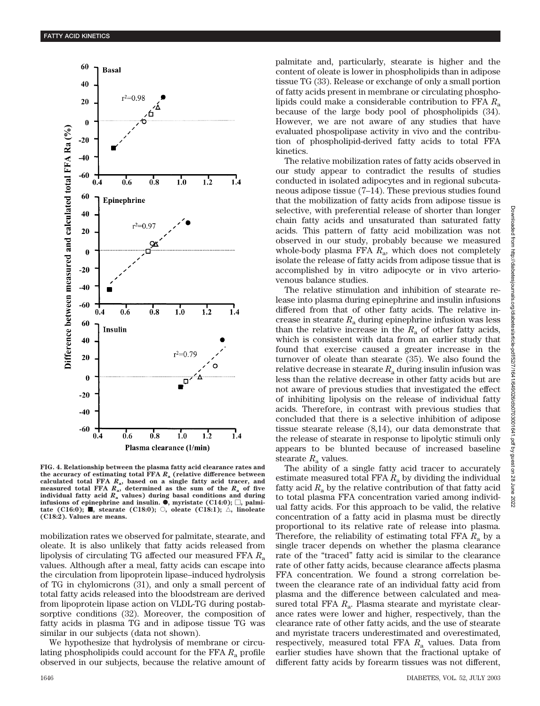

**FIG. 4. Relationship between the plasma fatty acid clearance rates and the accuracy of estimating total FFA** *R***<sup>a</sup> (relative difference between calculated total FFA** *R***a, based on a single fatty acid tracer, and measured total FFA**  $R$ <sup>a</sup>, determined as the sum of the  $R$ <sup>a</sup> of five **individual fatty acid** *R***<sup>a</sup> values) during basal conditions and during**  $\text{infusions of epinephrine and insulin.}$   $\bullet$ , myristate (C14:0);  $\Box$ , palmi**tate** (C16:0);  $\blacksquare$ , stearate (C18:0);  $\bigcirc$ , oleate (C18:1);  $\bigcirc$ , linoleate **(C18:2). Values are means.**

mobilization rates we observed for palmitate, stearate, and oleate. It is also unlikely that fatty acids released from lipolysis of circulating TG affected our measured FFA  $R_a$ values. Although after a meal, fatty acids can escape into the circulation from lipoprotein lipase–induced hydrolysis of TG in chylomicrons (31), and only a small percent of total fatty acids released into the bloodstream are derived from lipoprotein lipase action on VLDL-TG during postabsorptive conditions (32). Moreover, the composition of fatty acids in plasma TG and in adipose tissue TG was similar in our subjects (data not shown).

We hypothesize that hydrolysis of membrane or circulating phospholipids could account for the FFA *R*<sup>a</sup> profile observed in our subjects, because the relative amount of palmitate and, particularly, stearate is higher and the content of oleate is lower in phospholipids than in adipose tissue TG (33). Release or exchange of only a small portion of fatty acids present in membrane or circulating phospholipids could make a considerable contribution to FFA  $R_a$ because of the large body pool of phospholipids (34). However, we are not aware of any studies that have evaluated phospolipase activity in vivo and the contribution of phospholipid-derived fatty acids to total FFA kinetics.

The relative mobilization rates of fatty acids observed in our study appear to contradict the results of studies conducted in isolated adipocytes and in regional subcutaneous adipose tissue (7–14). These previous studies found that the mobilization of fatty acids from adipose tissue is selective, with preferential release of shorter than longer chain fatty acids and unsaturated than saturated fatty acids. This pattern of fatty acid mobilization was not observed in our study, probably because we measured whole-body plasma FFA  $R_a$ , which does not completely isolate the release of fatty acids from adipose tissue that is accomplished by in vitro adipocyte or in vivo arteriovenous balance studies.

The relative stimulation and inhibition of stearate release into plasma during epinephrine and insulin infusions differed from that of other fatty acids. The relative increase in stearate  $R_a$  during epinephrine infusion was less than the relative increase in the  $R_a$  of other fatty acids, which is consistent with data from an earlier study that found that exercise caused a greater increase in the turnover of oleate than stearate (35). We also found the relative decrease in stearate *R*<sup>a</sup> during insulin infusion was less than the relative decrease in other fatty acids but are not aware of previous studies that investigated the effect of inhibiting lipolysis on the release of individual fatty acids. Therefore, in contrast with previous studies that concluded that there is a selective inhibition of adipose tissue stearate release (8,14), our data demonstrate that the release of stearate in response to lipolytic stimuli only appears to be blunted because of increased baseline stearate  $R_a$  values.

The ability of a single fatty acid tracer to accurately estimate measured total FFA  $R_a$  by dividing the individual fatty acid  $R_a$  by the relative contribution of that fatty acid to total plasma FFA concentration varied among individual fatty acids. For this approach to be valid, the relative concentration of a fatty acid in plasma must be directly proportional to its relative rate of release into plasma. Therefore, the reliability of estimating total FFA *R*<sup>a</sup> by a single tracer depends on whether the plasma clearance rate of the "traced" fatty acid is similar to the clearance rate of other fatty acids, because clearance affects plasma FFA concentration. We found a strong correlation between the clearance rate of an individual fatty acid from plasma and the difference between calculated and measured total FFA  $R_a$ . Plasma stearate and myristate clearance rates were lower and higher, respectively, than the clearance rate of other fatty acids, and the use of stearate and myristate tracers underestimated and overestimated, respectively, measured total FFA *R*<sup>a</sup> values. Data from earlier studies have shown that the fractional uptake of different fatty acids by forearm tissues was not different,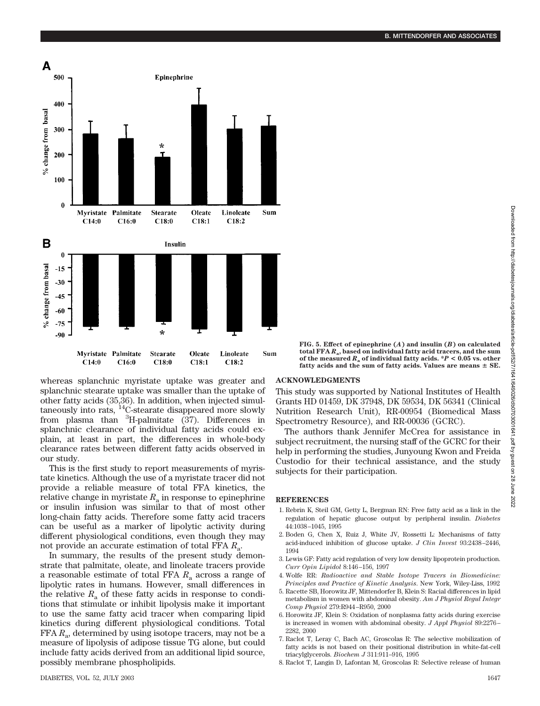whereas splanchnic myristate uptake was greater and splanchnic stearate uptake was smaller than the uptake of other fatty acids (35,36). In addition, when injected simultaneously into rats,  ${}^{14}$ C-stearate disappeared more slowly from plasma than  ${}^{3}$ H-palmitate (37). Differences in splanchnic clearance of individual fatty acids could explain, at least in part, the differences in whole-body clearance rates between different fatty acids observed in our study.

This is the first study to report measurements of myristate kinetics. Although the use of a myristate tracer did not provide a reliable measure of total FFA kinetics, the relative change in myristate  $R_a$  in response to epinephrine or insulin infusion was similar to that of most other long-chain fatty acids. Therefore some fatty acid tracers can be useful as a marker of lipolytic activity during different physiological conditions, even though they may not provide an accurate estimation of total FFA *R*a.

In summary, the results of the present study demonstrate that palmitate, oleate, and linoleate tracers provide a reasonable estimate of total FFA  $R_a$  across a range of lipolytic rates in humans. However, small differences in the relative  $R_a$  of these fatty acids in response to conditions that stimulate or inhibit lipolysis make it important to use the same fatty acid tracer when comparing lipid kinetics during different physiological conditions. Total FFA  $R_a$ , determined by using isotope tracers, may not be a measure of lipolysis of adipose tissue TG alone, but could include fatty acids derived from an additional lipid source, possibly membrane phospholipids.

### **ACKNOWLEDGMENTS**

This study was supported by National Institutes of Health Grants HD 01459, DK 37948, DK 59534, DK 56341 (Clinical Nutrition Research Unit), RR-00954 (Biomedical Mass Spectrometry Resource), and RR-00036 (GCRC).

The authors thank Jennifer McCrea for assistance in subject recruitment, the nursing staff of the GCRC for their help in performing the studies, Junyoung Kwon and Freida Custodio for their technical assistance, and the study subjects for their participation.

## **REFERENCES**

- 1. Rebrin K, Steil GM, Getty L, Bergman RN: Free fatty acid as a link in the regulation of hepatic glucose output by peripheral insulin. *Diabetes* 44:1038–1045, 1995
- 2. Boden G, Chen X, Ruiz J, White JV, Rossetti L: Mechanisms of fatty acid-induced inhibition of glucose uptake. *J Clin Invest* 93:2438–2446, 1994
- 3. Lewis GF: Fatty acid regulation of very low density lipoprotein production. *Curr Opin Lipidol* 8:146–156, 1997
- 4. Wolfe RR: *Radioactive and Stable Isotope Tracers in Biomedicine: Principles and Practice of Kinetic Analysis*. New York, Wiley-Liss, 1992
- 5. Racette SB, Horowitz JF, Mittendorfer B, Klein S: Racial differences in lipid metabolism in women with abdominal obesity. *Am J Physiol Regul Integr Comp Physiol* 279:R944–R950, 2000
- 6. Horowitz JF, Klein S: Oxidation of nonplasma fatty acids during exercise is increased in women with abdominal obesity. *J Appl Physiol* 89:2276– 2282, 2000
- 7. Raclot T, Leray C, Bach AC, Groscolas R: The selective mobilization of fatty acids is not based on their positional distribution in white-fat-cell triacylglycerols. *Biochem J* 311:911–916, 1995
- 8. Raclot T, Langin D, Lafontan M, Groscolas R: Selective release of human

**FIG. 5. Effect of epinephrine (***A***) and insulin (***B***) on calculated total FFA** *R***a, based on individual fatty acid tracers, and the sum of the measured** *R***<sup>a</sup> of individual fatty acids. \****P* **< 0.05 vs. other fatty acids and the sum of fatty acids. Values are means SE.**

500 Epinephrine 400 % change from basal 300 200 100  $\bf{0}$ Palmitate Linoleate Myristate **Stearate** Oleate Sum  $C18:2$  $C14:0$  $C16:0$  $C18:0$  $C18:1$ B Insulin  $\boldsymbol{0}$ % change from basal  $-15$  $-30$  $-45$ -60  $-75$ -90 Myristate Palmitate Linoleate **Stearate** Oleate Sum  $C18:2$  $C14:0$  $C16:0$  $C18:0$  $C18:1$ 

Α